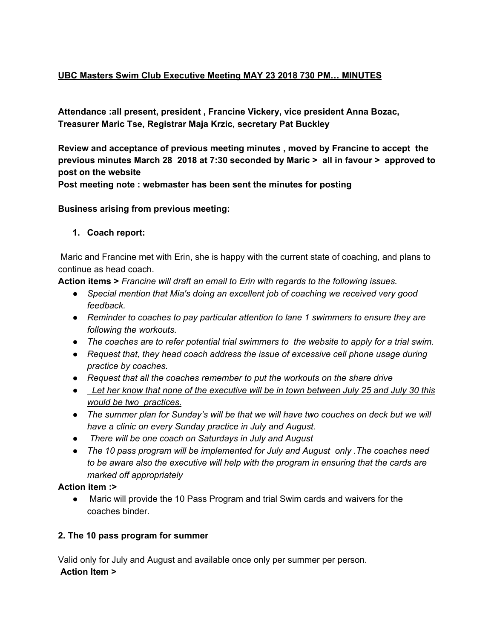# **UBC Masters Swim Club Executive Meeting MAY 23 2018 730 PM… MINUTES**

**Attendance :all present, president , Francine Vickery, vice president Anna Bozac, Treasurer Maric Tse, Registrar Maja Krzic, secretary Pat Buckley**

**Review and acceptance of previous meeting minutes , moved by Francine to accept the previous minutes March 28 2018 at 7:30 seconded by Maric > all in favour > approved to post on the website**

**Post meeting note : webmaster has been sent the minutes for posting**

### **Business arising from previous meeting:**

### **1. Coach report:**

Maric and Francine met with Erin, she is happy with the current state of coaching, and plans to continue as head coach.

**Action items >** *Francine will draft an email to Erin with regards to the following issues.*

- *● Special mention that Mia's doing an excellent job of coaching we received very good feedback.*
- *● Reminder to coaches to pay particular attention to lane 1 swimmers to ensure they are following the workouts.*
- *● The coaches are to refer potential trial swimmers to the website to apply for a trial swim.*
- *● Request that, they head coach address the issue of excessive cell phone usage during practice by coaches.*
- *● Request that all the coaches remember to put the workouts on the share drive*
- Let her know that none of the executive will be in town between July 25 and July 30 this *would be two practices.*
- *● The summer plan for Sunday's will be that we will have two couches on deck but we will have a clinic on every Sunday practice in July and August.*
- *● There will be one coach on Saturdays in July and August*
- *● The 10 pass program will be implemented for July and August only .The coaches need to be aware also the executive will help with the program in ensuring that the cards are marked off appropriately*

#### **Action item :>**

● Maric will provide the 10 Pass Program and trial Swim cards and waivers for the coaches binder.

## **2. The 10 pass program for summer**

Valid only for July and August and available once only per summer per person. **Action Item >**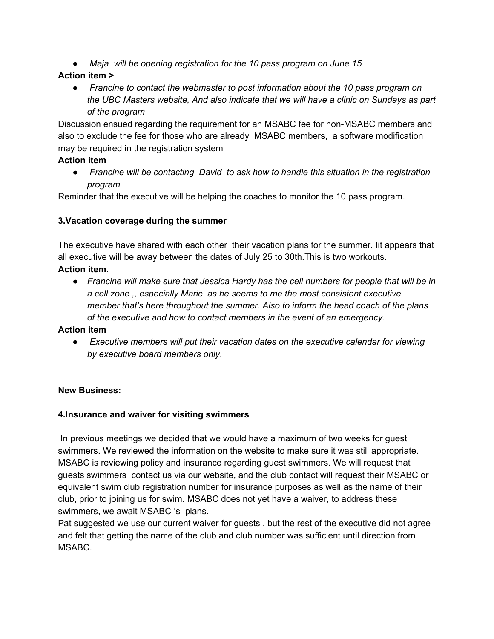*● Maja will be opening registration for the 10 pass program on June 15*

# **Action item >**

● *Francine to contact the webmaster to post information about the 10 pass program on the UBC Masters website, And also indicate that we will have a clinic on Sundays as part of the program*

Discussion ensued regarding the requirement for an MSABC fee for non-MSABC members and also to exclude the fee for those who are already MSABC members, a software modification may be required in the registration system

# **Action item**

● *Francine will be contacting David to ask how to handle this situation in the registration program*

Reminder that the executive will be helping the coaches to monitor the 10 pass program.

# **3.Vacation coverage during the summer**

The executive have shared with each other their vacation plans for the summer. Iit appears that all executive will be away between the dates of July 25 to 30th.This is two workouts. **Action item**.

*● Francine will make sure that Jessica Hardy has the cell numbers for people that will be in a cell zone ,, especially Maric as he seems to me the most consistent executive member that's here throughout the summer. Also to inform the head coach of the plans of the executive and how to contact members in the event of an emergency.*

# **Action item**

● *Executive members will put their vacation dates on the executive calendar for viewing by executive board members only*.

# **New Business:**

# **4.Insurance and waiver for visiting swimmers**

In previous meetings we decided that we would have a maximum of two weeks for guest swimmers. We reviewed the information on the website to make sure it was still appropriate. MSABC is reviewing policy and insurance regarding guest swimmers. We will request that guests swimmers contact us via our website, and the club contact will request their MSABC or equivalent swim club registration number for insurance purposes as well as the name of their club, prior to joining us for swim. MSABC does not yet have a waiver, to address these swimmers, we await MSABC 's plans.

Pat suggested we use our current waiver for guests , but the rest of the executive did not agree and felt that getting the name of the club and club number was sufficient until direction from MSABC.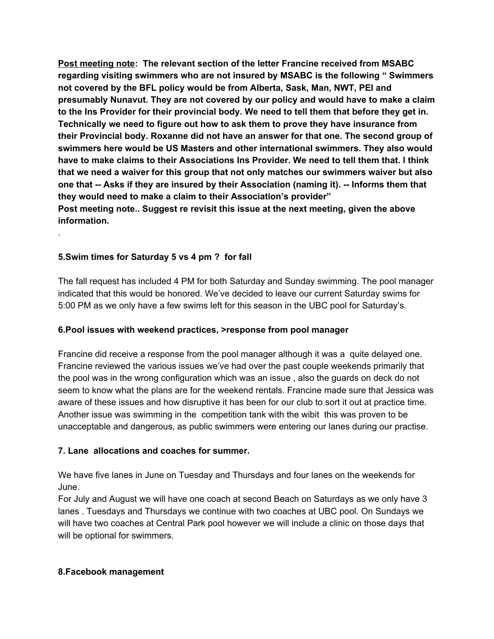**Post meeting note: The relevant section of the letter Francine received from MSABC regarding visiting swimmers who are not insured by MSABC is the following " Swimmers not covered by the BFL policy would be from Alberta, Sask, Man, NWT, PEI and presumably Nunavut. They are not covered by our policy and would have to make a claim to the Ins Provider for their provincial body. We need to tell them that before they get in. Technically we need to figure out how to ask them to prove they have insurance from their Provincial body. Roxanne did not have an answer for that one. The second group of swimmers here would be US Masters and other international swimmers. They also would have to make claims to their Associations Ins Provider. We need to tell them that. I think that we need a waiver for this group that not only matches our swimmers waiver but also one that -- Asks if they are insured by their Association (naming it). -- Informs them that they would need to make a claim to their Association's provider" Post meeting note.. Suggest re revisit this issue at the next meeting, given the above information.**

## **5.Swim times for Saturday 5 vs 4 pm ? for fall**

.

The fall request has included 4 PM for both Saturday and Sunday swimming. The pool manager indicated that this would be honored. We've decided to leave our current Saturday swims for 5:00 PM as we only have a few swims left for this season in the UBC pool for Saturday's.

#### **6.Pool issues with weekend practices, >response from pool manager**

Francine did receive a response from the pool manager although it was a quite delayed one. Francine reviewed the various issues we've had over the past couple weekends primarily that the pool was in the wrong configuration which was an issue , also the guards on deck do not seem to know what the plans are for the weekend rentals. Francine made sure that Jessica was aware of these issues and how disruptive it has been for our club to sort it out at practice time. Another issue was swimming in the competition tank with the wibit this was proven to be unacceptable and dangerous, as public swimmers were entering our lanes during our practise.

#### **7. Lane allocations and coaches for summer.**

We have five lanes in June on Tuesday and Thursdays and four lanes on the weekends for June.

For July and August we will have one coach at second Beach on Saturdays as we only have 3 lanes . Tuesdays and Thursdays we continue with two coaches at UBC pool. On Sundays we will have two coaches at Central Park pool however we will include a clinic on those days that will be optional for swimmers.

#### **8.Facebook management**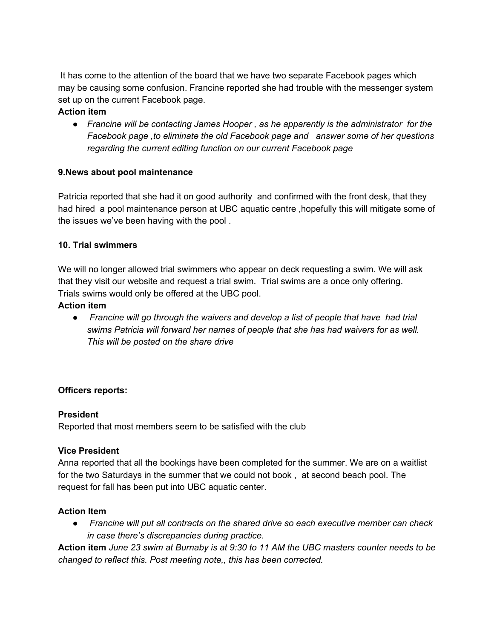It has come to the attention of the board that we have two separate Facebook pages which may be causing some confusion. Francine reported she had trouble with the messenger system set up on the current Facebook page.

## **Action item**

*● Francine will be contacting James Hooper , as he apparently is the administrator for the Facebook page ,to eliminate the old Facebook page and answer some of her questions regarding the current editing function on our current Facebook page*

## **9.News about pool maintenance**

Patricia reported that she had it on good authority and confirmed with the front desk, that they had hired a pool maintenance person at UBC aquatic centre ,hopefully this will mitigate some of the issues we've been having with the pool .

## **10. Trial swimmers**

We will no longer allowed trial swimmers who appear on deck requesting a swim. We will ask that they visit our website and request a trial swim. Trial swims are a once only offering. Trials swims would only be offered at the UBC pool.

## **Action item**

● *Francine will go through the waivers and develop a list of people that have had trial swims Patricia will forward her names of people that she has had waivers for as well. This will be posted on the share drive*

## **Officers reports:**

## **President**

Reported that most members seem to be satisfied with the club

# **Vice President**

Anna reported that all the bookings have been completed for the summer. We are on a waitlist for the two Saturdays in the summer that we could not book , at second beach pool. The request for fall has been put into UBC aquatic center.

## **Action Item**

● *Francine will put all contracts on the shared drive so each executive member can check in case there's discrepancies during practice.*

Action item June 23 swim at Burnaby is at 9:30 to 11 AM the UBC masters counter needs to be *changed to reflect this. Post meeting note,, this has been corrected.*